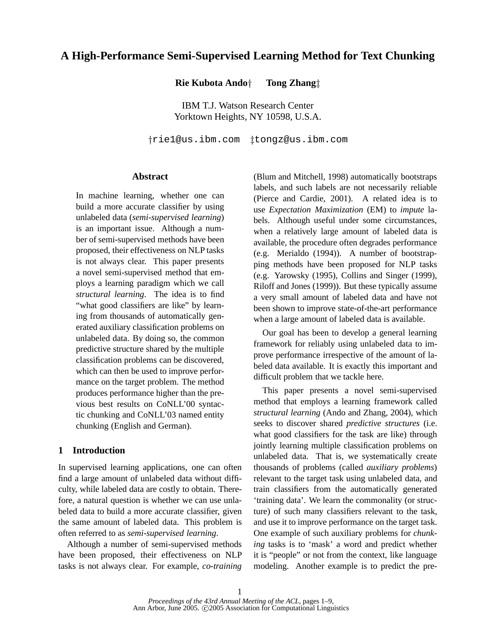# **A High-Performance Semi-Supervised Learning Method for Text Chunking**

**Rie Kubota Ando**† **Tong Zhang** 

IBM T.J. Watson Research Center Yorktown Heights, NY 10598, U.S.A.

trie1@us.ibm.com ttongz@us.ibm.com

# **Abstract**

In machine learning, whether one can build a more accurate classifier by using unlabeled data (*semi-supervised learning*) is an important issue. Although a number of semi-supervised methods have been proposed, their effectiveness on NLP tasks is not always clear. This paper presents a novel semi-supervised method that employs a learning paradigm which we call *structural learning*. The idea is to find "what good classifiers are like" by learning from thousands of automatically generated auxiliary classification problems on unlabeled data. By doing so, the common predictive structure shared by the multiple classification problems can be discovered, which can then be used to improve performance on the target problem. The method produces performance higher than the previous best results on CoNLL'00 syntactic chunking and CoNLL'03 named entity chunking (English and German).

# **1 Introduction**

In supervised learning applications, one can often find a large amount of unlabeled data without difficulty, while labeled data are costly to obtain. Therefore, a natural question is whether we can use unlabeled data to build a more accurate classifier, given the same amount of labeled data. This problem is often referred to as *semi-supervised learning*.

Although a number of semi-supervised methods have been proposed, their effectiveness on NLP tasks is not always clear. For example, *co-training*

(Blum and Mitchell, 1998) automatically bootstraps labels, and such labels are not necessarily reliable (Pierce and Cardie, 2001). A related idea is to use *Expectation Maximization* (EM) to *impute* labels. Although useful under some circumstances, when a relatively large amount of labeled data is available, the procedure often degrades performance (e.g. Merialdo (1994)). A number of bootstrapping methods have been proposed for NLP tasks (e.g. Yarowsky (1995), Collins and Singer (1999), Riloff and Jones (1999)). But these typically assume a very small amount of labeled data and have not been shown to improve state-of-the-art performance when a large amount of labeled data is available.

Our goal has been to develop a general learning framework for reliably using unlabeled data to improve performance irrespective of the amount of labeled data available. It is exactly this important and difficult problem that we tackle here.

This paper presents a novel semi-supervised method that employs a learning framework called *structural learning* (Ando and Zhang, 2004), which seeks to discover shared *predictive structures* (i.e. what good classifiers for the task are like) through jointly learning multiple classification problems on unlabeled data. That is, we systematically create thousands of problems (called *auxiliary problems*) relevant to the target task using unlabeled data, and train classifiers from the automatically generated 'training data'. We learn the commonality (or structure) of such many classifiers relevant to the task, and use it to improve performance on the target task. One example of such auxiliary problems for *chunking* tasks is to 'mask' a word and predict whether it is "people" or not from the context, like language modeling. Another example is to predict the pre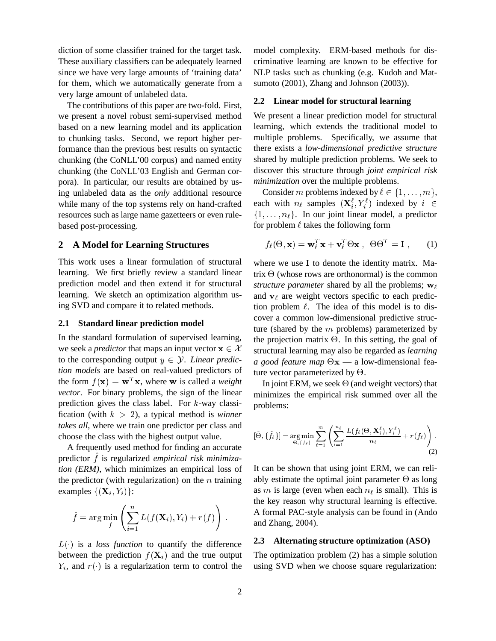diction of some classifier trained for the target task. These auxiliary classifiers can be adequately learned since we have very large amounts of 'training data' for them, which we automatically generate from a very large amount of unlabeled data.

The contributions of this paper are two-fold. First, we present a novel robust semi-supervised method based on a new learning model and its application to chunking tasks. Second, we report higher performance than the previous best results on syntactic chunking (the CoNLL'00 corpus) and named entity chunking (the CoNLL'03 English and German corpora). In particular, our results are obtained by using unlabeled data as the *only* additional resource while many of the top systems rely on hand-crafted resources such as large name gazetteers or even rulebased post-processing.

# **2 A Model for Learning Structures**

This work uses a linear formulation of structural learning. We first briefly review a standard linear prediction model and then extend it for structural learning. We sketch an optimization algorithm using SVD and compare it to related methods.

### **2.1 Standard linear prediction model**

In the standard formulation of supervised learning, we seek a *predictor* that maps an input vector  $x \in \mathcal{X}$ to the corresponding output  $y \in \mathcal{Y}$ . *Linear prediction models* are based on real-valued predictors of the form  $f(\mathbf{x}) = \mathbf{w}^T \mathbf{x}$ , where **w** is called a *weight vector*. For binary problems, the sign of the linear prediction gives the class label. For <sup>k</sup>-way classification (with  $k > 2$ ), a typical method is *winner takes all*, where we train one predictor per class and choose the class with the highest output value.

A frequently used method for finding an accurate predictor ^ <sup>f</sup> is regularized *empirical risk minimization (ERM)*, which minimizes an empirical loss of the predictor (with regularization) on the  $n$  training examples  $\{(\mathbf{X}_i, Y_i)\}$ :

$$
\hat{f} = \arg\min_{f} \left( \sum_{i=1}^{n} L(f(\mathbf{X}_i), Y_i) + r(f) \right)
$$

 $L(\cdot)$  is a *loss function* to quantify the difference between the prediction  $f(\mathbf{X}_i)$  and the true output  $Y_i$ , and  $r(\cdot)$  is a regularization term to control the model complexity. ERM-based methods for discriminative learning are known to be effective for NLP tasks such as chunking (e.g. Kudoh and Matsumoto (2001), Zhang and Johnson (2003)).

### **2.2 Linear model for structural learning**

We present a linear prediction model for structural learning, which extends the traditional model to multiple problems. Specifically, we assume that there exists a *low-dimensional predictive structure* shared by multiple prediction problems. We seek to discover this structure through *joint empirical risk minimization* over the multiple problems.

Consider m problems indexed by  $\ell \in \{1, \ldots, m\},\$ each with  $n_\ell$  samples  $(\mathbf{X}_i^{\ell}, Y_i^{\ell})$  indexed by  $i \in$  $\{1, \ldots, n_\ell\}$ . In our joint linear model, a predictor for problem  $\ell$  takes the following form

$$
f_{\ell}(\Theta, \mathbf{x}) = \mathbf{w}_{\ell}^T \mathbf{x} + \mathbf{v}_{\ell}^T \Theta \mathbf{x}, \ \ \Theta \Theta^T = \mathbf{I}, \qquad (1)
$$

where we use <sup>I</sup> to denote the identity matrix. Matrix  $\Theta$  (whose rows are orthonormal) is the common *structure parameter* shared by all the problems;  $w_\ell$ and  $v_\ell$  are weight vectors specific to each prediction problem  $\ell$ . The idea of this model is to discover a common low-dimensional predictive structure (shared by the  $m$  problems) parameterized by the projection matrix  $\Theta$ . In this setting, the goal of structural learning may also be regarded as *learning a good feature map*  $\Theta$ **x** — a low-dimensional feature vector parameterized by  $\Theta$ .

In joint ERM, we seek  $\Theta$  (and weight vectors) that minimizes the empirical risk summed over all the problems:

$$
[\hat{\Theta}, \{\hat{f}_{\ell}\}] = \underset{\Theta, \{f_{\ell}\}}{\arg \min} \sum_{\ell=1}^{m} \left( \sum_{i=1}^{n_{\ell}} \frac{L(f_{\ell}(\Theta, \mathbf{X}_{i}^{\ell}), Y_{i}^{\ell})}{n_{\ell}} + r(f_{\ell}) \right). \tag{2}
$$

It can be shown that using joint ERM, we can reliably estimate the optimal joint parameter  $\Theta$  as long as m is large (even when each  $n_\ell$  is small). This is the key reason why structural learning is effective. A formal PAC-style analysis can be found in (Ando and Zhang, 2004).

### **2.3 Alternating structure optimization (ASO)**

The optimization problem (2) has a simple solution using SVD when we choose square regularization: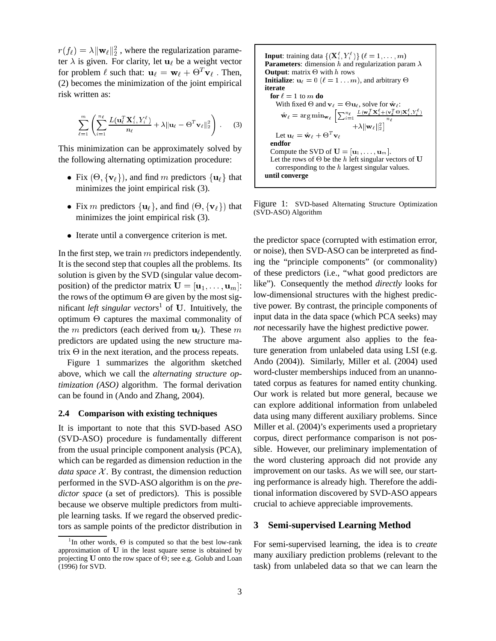$r(f_\ell) = \lambda \|\mathbf{w}_\ell\|_2^2$ , where the regularization parameter  $\lambda$  is given. For clarity, let  $u_\ell$  be a weight vector for problem  $\ell$  such that:  $\mathbf{u}_{\ell} = \mathbf{w}_{\ell} + \Theta^T \mathbf{v}_{\ell}$  . Then, (2) becomes the minimization of the joint empirical risk written as:

$$
\sum_{\ell=1}^m \left( \sum_{i=1}^{n_\ell} \frac{L(\mathbf{u}_\ell^T \mathbf{X}_i^\ell, Y_i^\ell)}{n_\ell} + \lambda \|\mathbf{u}_\ell - \Theta^T \mathbf{v}_\ell\|_2^2 \right) . \tag{3}
$$

This minimization can be approximately solved by the following alternating optimization procedure:

- Fix  $(\Theta, \{v_\ell\})$ , and find m predictors  $\{u_\ell\}$  that minimizes the joint empirical risk (3).
- Fix m predictors  $\{u_\ell\}$ , and find  $(\Theta, \{v_\ell\})$  that minimizes the joint empirical risk (3).
- Iterate until a convergence criterion is met.

In the first step, we train  $m$  predictors independently. It is the second step that couples all the problems. Its solution is given by the SVD (singular value decomposition) of the predictor matrix  $\mathbf{U} = [\mathbf{u}_1, \dots, \mathbf{u}_m]$ : the rows of the optimum  $\Theta$  are given by the most significant *left singular vectors*<sup>1</sup> of **U**. Intuitively, the optimum  $\Theta$  captures the maximal commonality of the m predictors (each derived from  $\mathbf{u}_\ell$ ). These m predictors are updated using the new structure matrix  $\Theta$  in the next iteration, and the process repeats.

Figure 1 summarizes the algorithm sketched above, which we call the *alternating structure optimization (ASO)* algorithm. The formal derivation can be found in (Ando and Zhang, 2004).

#### **2.4 Comparison with existing techniques**

It is important to note that this SVD-based ASO (SVD-ASO) procedure is fundamentally different from the usual principle component analysis (PCA), which can be regarded as dimension reduction in the *data space*  $X$ . By contrast, the dimension reduction performed in the SVD-ASO algorithm is on the *predictor space* (a set of predictors). This is possible because we observe multiple predictors from multiple learning tasks. If we regard the observed predictors as sample points of the predictor distribution in

**Input:** training data {(
$$
\mathbf{X}_i^{\ell}, Y_i^{\ell}
$$
)} (l = 1, ..., m)  
\n**Parameters:** dimension h and regularization param  $\lambda$   
\n**Output:** matrix  $\Theta$  with h rows  
\n**Initialize:**  $\mathbf{u}_{\ell} = 0$  ( $\ell = 1 ... m$ ), and arbitrary  $\Theta$   
\n**iterate:**  
\n**for**  $\ell = 1$  to m **do**  
\nWith fixed  $\Theta$  and  $\mathbf{v}_{\ell} = \Theta \mathbf{u}_{\ell}$ , solve for  $\hat{\mathbf{w}}_{\ell}$ :  
\n
$$
\hat{\mathbf{w}}_{\ell} = \arg \min_{\mathbf{w}_{\ell}} \left[ \sum_{i=1}^{n_{\ell}} \frac{L(\mathbf{w}_i^T \mathbf{X}_i^{\ell} + (\mathbf{v}_i^T \Theta) \mathbf{X}_i^{\ell}, Y_i^{\ell})}{n_{\ell}} + \lambda ||\mathbf{w}_{\ell}||_2^2 \right]
$$
\nLet  $\mathbf{u}_{\ell} = \hat{\mathbf{w}}_{\ell} + \Theta^T \mathbf{v}_{\ell}$   
\n**endfor**  
\nCompute the SVD of  $\mathbf{U} = [\mathbf{u}_1, ..., \mathbf{u}_m]$ .  
\nLet the rows of  $\Theta$  be the h left singular vectors of  $\mathbf{U}$   
\ncorresponding to the h largest singular values.  
\n**until converge**

Figure 1: SVD-based Alternating Structure Optimization (SVD-ASO) Algorithm

the predictor space (corrupted with estimation error, or noise), then SVD-ASO can be interpreted as finding the "principle components" (or commonality) of these predictors (i.e., "what good predictors are like"). Consequently the method *directly* looks for low-dimensional structures with the highest predictive power. By contrast, the principle components of input data in the data space (which PCA seeks) may *not* necessarily have the highest predictive power.

The above argument also applies to the feature generation from unlabeled data using LSI (e.g. Ando (2004)). Similarly, Miller et al. (2004) used word-cluster memberships induced from an unannotated corpus as features for named entity chunking. Our work is related but more general, because we can explore additional information from unlabeled data using many different auxiliary problems. Since Miller et al. (2004)'s experiments used a proprietary corpus, direct performance comparison is not possible. However, our preliminary implementation of the word clustering approach did not provide any improvement on our tasks. As we will see, our starting performance is already high. Therefore the additional information discovered by SVD-ASO appears crucial to achieve appreciable improvements.

# **3 Semi-supervised Learning Method**

For semi-supervised learning, the idea is to *create* many auxiliary prediction problems (relevant to the task) from unlabeled data so that we can learn the

<sup>&</sup>lt;sup>1</sup>In other words,  $\Theta$  is computed so that the best low-rank approximation of <sup>U</sup> in the least square sense is obtained by projecting U onto the row space of  $\Theta$ ; see e.g. Golub and Loan (1996) for SVD.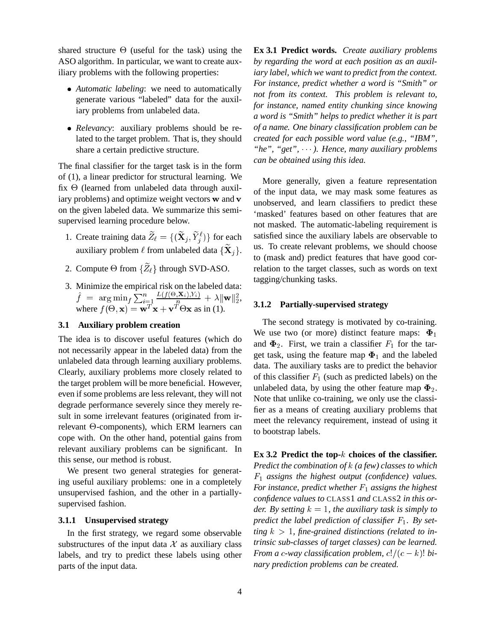shared structure  $\Theta$  (useful for the task) using the ASO algorithm. In particular, we want to create auxiliary problems with the following properties:

- *Automatic labeling*: we need to automatically generate various "labeled" data for the auxiliary problems from unlabeled data.
- *Relevancy*: auxiliary problems should be related to the target problem. That is, they should share a certain predictive structure.

The final classifier for the target task is in the form of (1), a linear predictor for structural learning. We fix  $\Theta$  (learned from unlabeled data through auxiliary problems) and optimize weight vectors <sup>w</sup> and <sup>v</sup> on the given labeled data. We summarize this semisupervised learning procedure below.

- 1. Create training data  $Z_{\ell} = \{ (\mathbf{X}_j, Y^{\ell}_j) \}$  for each auxiliary problem  $\ell$  from unlabeled data  $\{X_i\}.$
- 2. Compute  $\Theta$  from  $\{Z_{\ell}\}\$  through SVD-ASO.
- 3. Minimize the empirical risk on the labeled data:  $f = \arg \min_{f} \sum_{i=1}^{n}$  $\frac{L\left(J\left(\mathbf{\Theta},\mathbf{\Lambda}_{i}\right),Y_{i}\right)}{n}~+~\lambda\|\mathbf{w}\|_{2}^{2},$ where  $f(\Theta, \mathbf{x}) = \mathbf{w}^T \mathbf{x} + \mathbf{v}^T \Theta \mathbf{x}$  as in (1).

# **3.1 Auxiliary problem creation**

The idea is to discover useful features (which do not necessarily appear in the labeled data) from the unlabeled data through learning auxiliary problems. Clearly, auxiliary problems more closely related to the target problem will be more beneficial. However, even if some problems are less relevant, they will not degrade performance severely since they merely result in some irrelevant features (originated from irrelevant  $\Theta$ -components), which ERM learners can cope with. On the other hand, potential gains from relevant auxiliary problems can be significant. In this sense, our method is robust.

We present two general strategies for generating useful auxiliary problems: one in a completely unsupervised fashion, and the other in a partiallysupervised fashion.

# **3.1.1 Unsupervised strategy**

In the first strategy, we regard some observable substructures of the input data  $\mathcal X$  as auxiliary class labels, and try to predict these labels using other parts of the input data.

**Ex 3.1 Predict words.** *Create auxiliary problems by regarding the word at each position as an auxiliary label, which we want to predict from the context. For instance, predict whether a word is "Smith" or not from its context. This problem is relevant to, for instance, named entity chunking since knowing a word is "Smith" helps to predict whether it is part of a name. One binary classification problem can be created for each possible word value (e.g., "IBM", "he", "get", ). Hence, many auxiliary problems can be obtained using this idea.*

More generally, given a feature representation of the input data, we may mask some features as unobserved, and learn classifiers to predict these 'masked' features based on other features that are not masked. The automatic-labeling requirement is satisfied since the auxiliary labels are observable to us. To create relevant problems, we should choose to (mask and) predict features that have good correlation to the target classes, such as words on text tagging/chunking tasks.

### **3.1.2 Partially-supervised strategy**

The second strategy is motivated by co-training. We use two (or more) distinct feature maps:  $\Phi_1$ and  $\Phi_2$ . First, we train a classifier  $F_1$  for the target task, using the feature map  $\Phi_1$  and the labeled data. The auxiliary tasks are to predict the behavior of this classifier  $F_1$  (such as predicted labels) on the unlabeled data, by using the other feature map  $\Phi_2$ . Note that unlike co-training, we only use the classifier as a means of creating auxiliary problems that meet the relevancy requirement, instead of using it to bootstrap labels.

**Ex 3.2 Predict the top-**<sup>k</sup> **choices of the classifier.** *Predict the combination of* <sup>k</sup> *(a few) classes to which* F1 *assigns the highest output (confidence) values. For instance, predict whether*  $F_1$  *assigns the highest confidence values to* CLASS1 *and* CLASS2 *in this order.* By setting  $k = 1$ , the auxiliary task is simply to *predict the label prediction of classifier*  $F_1$ *. By set* $t$ *ting*  $k > 1$ , *fine-grained distinctions (related to intrinsic sub-classes of target classes) can be learned. From a c-way classification problem,*  $c!/(c-k)!$  *binary prediction problems can be created.*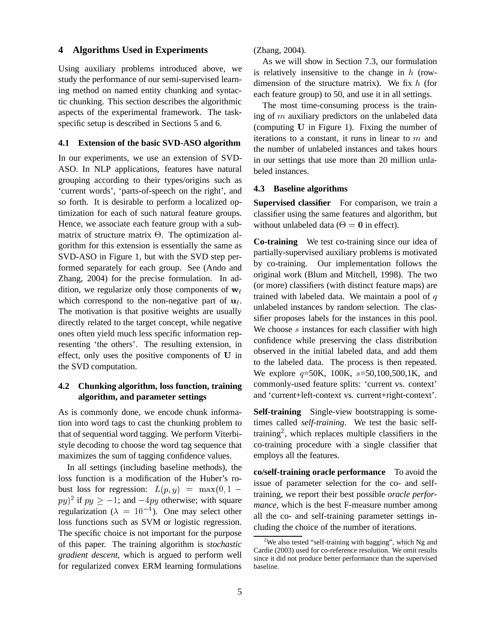### **4 Algorithms Used in Experiments**

Using auxiliary problems introduced above, we study the performance of our semi-supervised learning method on named entity chunking and syntactic chunking. This section describes the algorithmic aspects of the experimental framework. The taskspecific setup is described in Sections 5 and 6.

### **4.1 Extension of the basic SVD-ASO algorithm**

In our experiments, we use an extension of SVD-ASO. In NLP applications, features have natural grouping according to their types/origins such as 'current words', 'parts-of-speech on the right', and so forth. It is desirable to perform a localized optimization for each of such natural feature groups. Hence, we associate each feature group with a submatrix of structure matrix  $\Theta$ . The optimization algorithm for this extension is essentially the same as SVD-ASO in Figure 1, but with the SVD step performed separately for each group. See (Ando and Zhang, 2004) for the precise formulation. In addition, we regularize only those components of  $w_\ell$ which correspond to the non-negative part of  $\mathbf{u}_{\ell}$ . The motivation is that positive weights are usually directly related to the target concept, while negative ones often yield much less specific information representing 'the others'. The resulting extension, in effect, only uses the positive components of <sup>U</sup> in the SVD computation.

# **4.2 Chunking algorithm, loss function, training algorithm, and parameter settings**

As is commonly done, we encode chunk information into word tags to cast the chunking problem to that of sequential word tagging. We perform Viterbistyle decoding to choose the word tag sequence that maximizes the sum of tagging confidence values.

In all settings (including baseline methods), the loss function is a modification of the Huber's robust loss for regression:  $L(p, y) = \max(0, 1$  $py$ <sup>2</sup> if  $py \ge -1$ ; and  $-4py$  otherwise; with square regularization ( $\lambda = 10^{-4}$ ). One may select other loss functions such as SVM or logistic regression. The specific choice is not important for the purpose of this paper. The training algorithm is *stochastic gradient descent*, which is argued to perform well for regularized convex ERM learning formulations

(Zhang, 2004).

As we will show in Section 7.3, our formulation is relatively insensitive to the change in  $h$  (rowdimension of the structure matrix). We fix  $h$  (for each feature group) to 50, and use it in all settings.

The most time-consuming process is the training of  $m$  auxiliary predictors on the unlabeled data (computing <sup>U</sup> in Figure 1). Fixing the number of iterations to a constant, it runs in linear to  $m$  and the number of unlabeled instances and takes hours in our settings that use more than 20 million unlabeled instances.

### **4.3 Baseline algorithms**

**Supervised classifier** For comparison, we train a classifier using the same features and algorithm, but without unlabeled data ( $\Theta = 0$  in effect).

**Co-training** We test co-training since our idea of partially-supervised auxiliary problems is motivated by co-training. Our implementation follows the original work (Blum and Mitchell, 1998). The two (or more) classifiers (with distinct feature maps) are trained with labeled data. We maintain a pool of  $q$ unlabeled instances by random selection. The classifier proposes labels for the instances in this pool. We choose  $s$  instances for each classifier with high confidence while preserving the class distribution observed in the initial labeled data, and add them to the labeled data. The process is then repeated. We explore  $q=50K$ , 100K,  $s=50,100,500,1K$ , and commonly-used feature splits: 'current vs. context' and 'current+left-context vs. current+right-context'.

**Self-training** Single-view bootstrapping is sometimes called *self-training*. We test the basic selftraining<sup>2</sup>, which replaces multiple classifiers in the co-training procedure with a single classifier that employs all the features.

**co/self-training oracle performance** To avoid the issue of parameter selection for the co- and selftraining, we report their best possible *oracle performance*, which is the best F-measure number among all the co- and self-training parameter settings including the choice of the number of iterations.

 $2$ We also tested "self-training with bagging", which Ng and Cardie (2003) used for co-reference resolution. We omit results since it did not produce better performance than the supervised baseline.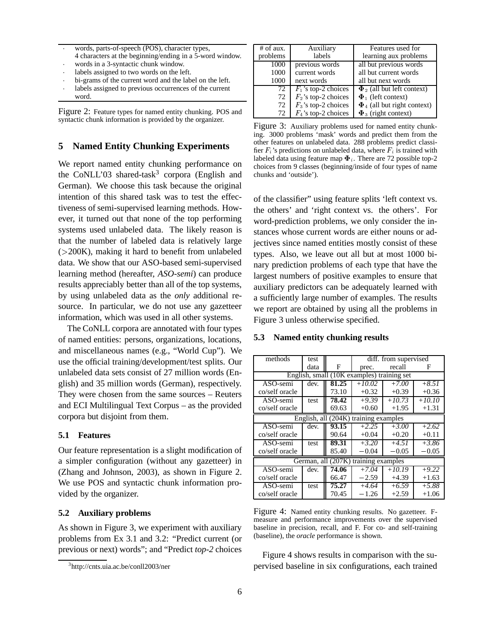- words, parts-of-speech (POS), character types, 4 characters at the beginning/ending in a 5-word window.
- words in a 3-syntactic chunk window.
- labels assigned to two words on the left.
- bi-grams of the current word and the label on the left.
- labels assigned to previous occurrences of the current word.

Figure 2: Feature types for named entity chunking. POS and syntactic chunk information is provided by the organizer.

# **5 Named Entity Chunking Experiments**

We report named entity chunking performance on the CoNLL'03 shared-task<sup>3</sup> corpora (English and German). We choose this task because the original intention of this shared task was to test the effectiveness of semi-supervised learning methods. However, it turned out that none of the top performing systems used unlabeled data. The likely reason is that the number of labeled data is relatively large  $(>200K)$ , making it hard to benefit from unlabeled data. We show that our ASO-based semi-supervised learning method (hereafter, *ASO-semi*) can produce results appreciably better than all of the top systems, by using unlabeled data as the *only* additional resource. In particular, we do not use any gazetteer information, which was used in all other systems.

The CoNLL corpora are annotated with four types of named entities: persons, organizations, locations, and miscellaneous names (e.g., "World Cup"). We use the official training/development/test splits. Our unlabeled data sets consist of 27 million words (English) and 35 million words (German), respectively. They were chosen from the same sources – Reuters and ECI Multilingual Text Corpus – as the provided corpora but disjoint from them.

# **5.1 Features**

Our feature representation is a slight modification of a simpler configuration (without any gazetteer) in (Zhang and Johnson, 2003), as shown in Figure 2. We use POS and syntactic chunk information provided by the organizer.

# **5.2 Auxiliary problems**

As shown in Figure 3, we experiment with auxiliary problems from Ex 3.1 and 3.2: "Predict current (or previous or next) words"; and "Predict *top-2* choices

| # of aux. | Auxiliary              | Features used for                |  |
|-----------|------------------------|----------------------------------|--|
| problems  | labels                 | learning aux problems            |  |
| 1000      | previous words         | all but previous words           |  |
| 1000      | current words          | all but current words            |  |
| 1000      | next words             | all but next words               |  |
| 72        | $F_1$ 's top-2 choices | $\Phi_2$ (all but left context)  |  |
| 72        | $F_2$ 's top-2 choices | $\Phi_1$ (left context)          |  |
| 72        | $F_3$ 's top-2 choices | $\Phi_4$ (all but right context) |  |
| 72        | $F_4$ 's top-2 choices | $\Phi_3$ (right context)         |  |

Figure 3: Auxiliary problems used for named entity chunking. 3000 problems 'mask' words and predict them from the other features on unlabeled data. 288 problems predict classifier  $F_i$ 's predictions on unlabeled data, where  $F_i$  is trained with labeled data using feature map  $\Phi_i$ . There are 72 possible top-2 choices from 9 classes (beginning/inside of four types of name chunks and 'outside').

of the classifier" using feature splits 'left context vs. the others' and 'right context vs. the others'. For word-prediction problems, we only consider the instances whose current words are either nouns or adjectives since named entities mostly consist of these types. Also, we leave out all but at most 1000 binary prediction problems of each type that have the largest numbers of positive examples to ensure that auxiliary predictors can be adequately learned with a sufficiently large number of examples. The results we report are obtained by using all the problems in Figure 3 unless otherwise specified.

| methods                               | test                                       |       | diff. from supervised |          |          |
|---------------------------------------|--------------------------------------------|-------|-----------------------|----------|----------|
|                                       | data                                       | F     | prec.                 | recall   | F        |
|                                       | English, small (10K examples) training set |       |                       |          |          |
| ASO-semi                              | dev.                                       | 81.25 | $+10.02$              | $+7.00$  | $+8.51$  |
| co/self oracle                        |                                            | 73.10 | $+0.32$               | $+0.39$  | $+0.36$  |
| ASO-semi                              | test                                       | 78.42 | $+9.39$               | $+10.73$ | $+10.10$ |
| co/self oracle                        |                                            | 69.63 | $+0.60$               | $+1.95$  | $+1.31$  |
| English, all (204K) training examples |                                            |       |                       |          |          |
| ASO-semi                              | dev.                                       | 93.15 | $+2.25$               | $+3.00$  | $+2.62$  |
| co/self oracle                        |                                            | 90.64 | $+0.04$               | $+0.20$  | $+0.11$  |
| ASO-semi                              | test                                       | 89.31 | $+3.20$               | $+4.51$  | $+3.86$  |
| co/self oracle                        |                                            | 85.40 | $-0.04$               | $-0.05$  | $-0.05$  |
| German, all (207K) training examples  |                                            |       |                       |          |          |
| ASO-semi                              | dev.                                       | 74.06 | $\overline{+7.04}$    | $+10.19$ | $+9.22$  |
| co/self oracle                        |                                            | 66.47 | $-2.59$               | $+4.39$  | $+1.63$  |
| ASO-semi                              | test                                       | 75.27 | $+4.64$               | $+6.59$  | $+5.88$  |
| co/self oracle                        |                                            | 70.45 | $-1.26$               | $+2.59$  | $+1.06$  |

### **5.3 Named entity chunking results**

Figure 4: Named entity chunking results. No gazetteer. Fmeasure and performance improvements over the supervised baseline in precision, recall, and F. For co- and self-training (baseline), the *oracle* performance is shown.

Figure 4 shows results in comparison with the supervised baseline in six configurations, each trained

<sup>3</sup> http://cnts.uia.ac.be/conll2003/ner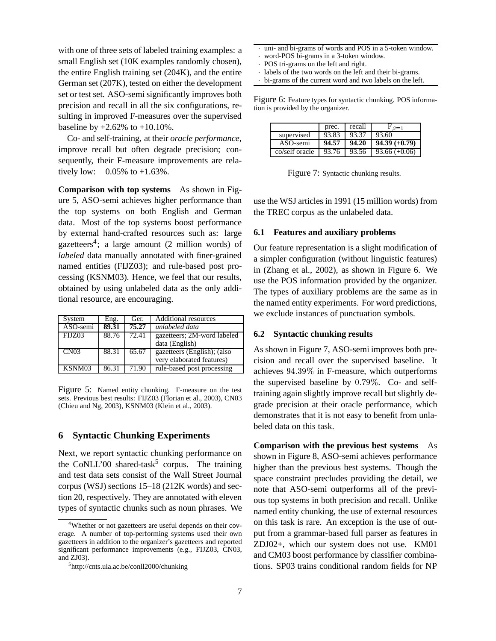with one of three sets of labeled training examples: a small English set (10K examples randomly chosen), the entire English training set (204K), and the entire German set (207K), tested on either the development set or test set. ASO-semi significantly improves both precision and recall in all the six configurations, resulting in improved F-measures over the supervised baseline by  $+2.62\%$  to  $+10.10\%$ .

Co- and self-training, at their *oracle performance*, improve recall but often degrade precision; consequently, their F-measure improvements are relatively low:  $-0.05\%$  to  $+1.63\%$ .

**Comparison with top systems** As shown in Figure 5, ASO-semi achieves higher performance than the top systems on both English and German data. Most of the top systems boost performance by external hand-crafted resources such as: large gazetteers<sup>4</sup>; a large amount (2 million words) of *labeled* data manually annotated with finer-grained named entities (FIJZ03); and rule-based post processing (KSNM03). Hence, we feel that our results, obtained by using unlabeled data as the only additional resource, are encouraging.

| System           | Eng.  | Ger.  | <b>Additional resources</b> |
|------------------|-------|-------|-----------------------------|
| ASO-semi         | 89.31 | 75.27 | unlabeled data              |
| FIJZ03           | 88.76 | 72.41 | gazetteers; 2M-word labeled |
|                  |       |       | data (English)              |
| CN <sub>03</sub> | 88.31 | 65.67 | gazetteers (English); (also |
|                  |       |       | very elaborated features)   |
| KSNM03           | 86.31 | 71.90 | rule-based post processing  |

Figure 5: Named entity chunking. F-measure on the test sets. Previous best results: FIJZ03 (Florian et al., 2003), CN03 (Chieu and Ng, 2003), KSNM03 (Klein et al., 2003).

### **6 Syntactic Chunking Experiments**

Next, we report syntactic chunking performance on the CoNLL'00 shared-task<sup>5</sup> corpus. The training and test data sets consist of the Wall Street Journal corpus (WSJ) sections 15–18 (212K words) and section 20, respectively. They are annotated with eleven types of syntactic chunks such as noun phrases. We

- uni- and bi-grams of words and POS in a 5-token window.
- word-POS bi-grams in a 3-token window.
- POS tri-grams on the left and right.
- labels of the two words on the left and their bi-grams.
- bi-grams of the current word and two labels on the left.

Figure 6: Feature types for syntactic chunking. POS information is provided by the organizer.

|                | prec. | recall | $\beta = 1$     |
|----------------|-------|--------|-----------------|
| supervised     | 93.83 | 93.37  | 93.60           |
| $ASO$ -semi    | 94.57 | 94.20  | $94.39 (+0.79)$ |
| co/self oracle | 93.76 | 93.56  | $93.66 (+0.06)$ |

Figure 7: Syntactic chunking results.

use the WSJ articles in 1991 (15 million words) from the TREC corpus as the unlabeled data.

#### **6.1 Features and auxiliary problems**

Our feature representation is a slight modification of a simpler configuration (without linguistic features) in (Zhang et al., 2002), as shown in Figure 6. We use the POS information provided by the organizer. The types of auxiliary problems are the same as in the named entity experiments. For word predictions, we exclude instances of punctuation symbols.

# **6.2 Syntactic chunking results**

As shown in Figure 7, ASO-semi improves both precision and recall over the supervised baseline. It achieves 94:39% in F-measure, which outperforms the supervised baseline by 0:79%. Co- and selftraining again slightly improve recall but slightly degrade precision at their oracle performance, which demonstrates that it is not easy to benefit from unlabeled data on this task.

**Comparison with the previous best systems** As shown in Figure 8, ASO-semi achieves performance higher than the previous best systems. Though the space constraint precludes providing the detail, we note that ASO-semi outperforms all of the previous top systems in both precision and recall. Unlike named entity chunking, the use of external resources on this task is rare. An exception is the use of output from a grammar-based full parser as features in ZDJ02+, which our system does not use. KM01 and CM03 boost performance by classifier combinations. SP03 trains conditional random fields for NP

<sup>&</sup>lt;sup>4</sup>Whether or not gazetteers are useful depends on their coverage. A number of top-performing systems used their own gazetteers in addition to the organizer's gazetteers and reported significant performance improvements (e.g., FIJZ03, CN03, and ZJ03).

<sup>5</sup> http://cnts.uia.ac.be/conll2000/chunking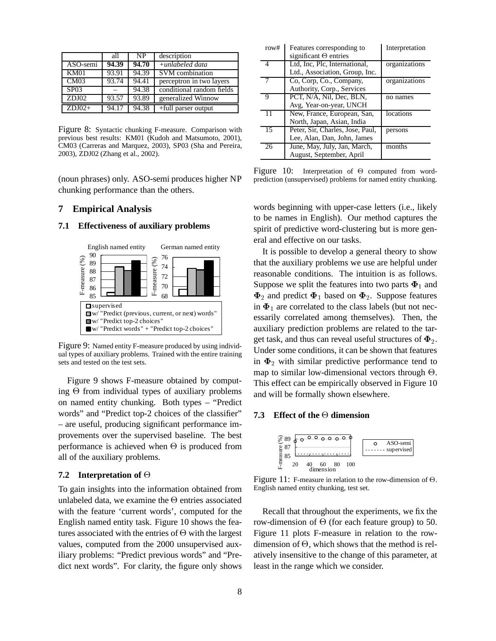|                  | all   | NP.   | description               |
|------------------|-------|-------|---------------------------|
| ASO-semi         | 94.39 | 94.70 | $+$ unlabeled data        |
| KM01             | 93.91 | 94.39 | <b>SVM</b> combination    |
| CM03             | 93.74 | 94.41 | perceptron in two layers  |
| SP <sub>03</sub> |       | 94.38 | conditional random fields |
| ZDJ02            | 93.57 | 93.89 | generalized Winnow        |
| $ZDJ02+$         | 94.17 | 94.38 | +full parser output       |

Figure 8: Syntactic chunking F-measure. Comparison with previous best results: KM01 (Kudoh and Matsumoto, 2001), CM03 (Carreras and Marquez, 2003), SP03 (Sha and Pereira, 2003), ZDJ02 (Zhang et al., 2002).

(noun phrases) only. ASO-semi produces higher NP chunking performance than the others.

# **7 Empirical Analysis**

### **7.1 Effectiveness of auxiliary problems**



Figure 9: Named entity F-measure produced by using individual types of auxiliary problems. Trained with the entire training sets and tested on the test sets.

Figure 9 shows F-measure obtained by computing  $\Theta$  from individual types of auxiliary problems on named entity chunking. Both types – "Predict words" and "Predict top-2 choices of the classifier" – are useful, producing significant performance improvements over the supervised baseline. The best performance is achieved when  $\Theta$  is produced from all of the auxiliary problems.

#### **7.2** Interpretation of  $\Theta$

To gain insights into the information obtained from unlabeled data, we examine the  $\Theta$  entries associated with the feature 'current words', computed for the English named entity task. Figure 10 shows the features associated with the entries of  $\Theta$  with the largest values, computed from the 2000 unsupervised auxiliary problems: "Predict previous words" and "Predict next words". For clarity, the figure only shows

| row# | Features corresponding to        | Interpretation |
|------|----------------------------------|----------------|
|      | significant $\Theta$ entries     |                |
| 4    | Ltd, Inc, Plc, International,    | organizations  |
|      | Ltd., Association, Group, Inc.   |                |
|      | Co, Corp, Co., Company,          | organizations  |
|      | Authority, Corp., Services       |                |
| Q    | PCT, N/A, Nil, Dec, BLN,         | no names       |
|      | Avg, Year-on-year, UNCH          |                |
| 11   | New, France, European, San,      | locations      |
|      | North, Japan, Asian, India       |                |
| 15   | Peter, Sir, Charles, Jose, Paul, | persons        |
|      | Lee, Alan, Dan, John, James      |                |
| 26   | June, May, July, Jan, March,     | months         |
|      | August, September, April         |                |

Figure 10: Interpretation of  $\Theta$  computed from wordprediction (unsupervised) problems for named entity chunking.

words beginning with upper-case letters (i.e., likely to be names in English). Our method captures the spirit of predictive word-clustering but is more general and effective on our tasks.

It is possible to develop a general theory to show that the auxiliary problems we use are helpful under reasonable conditions. The intuition is as follows. Suppose we split the features into two parts  $\Phi_1$  and  $\Phi_2$  and predict  $\Phi_1$  based on  $\Phi_2$ . Suppose features in  $\Phi_1$  are correlated to the class labels (but not necessarily correlated among themselves). Then, the auxiliary prediction problems are related to the target task, and thus can reveal useful structures of  $\Phi_2$ . Under some conditions, it can be shown that features in  $\Phi_2$  with similar predictive performance tend to map to similar low-dimensional vectors through  $\Theta$ . This effect can be empirically observed in Figure 10 and will be formally shown elsewhere.

### **7.3** Effect of the  $\Theta$  dimension



Figure 11: F-measure in relation to the row-dimension of  $\Theta$ . English named entity chunking, test set.

Recall that throughout the experiments, we fix the row-dimension of  $\Theta$  (for each feature group) to 50. Figure 11 plots F-measure in relation to the rowdimension of  $\Theta$ , which shows that the method is relatively insensitive to the change of this parameter, at least in the range which we consider.